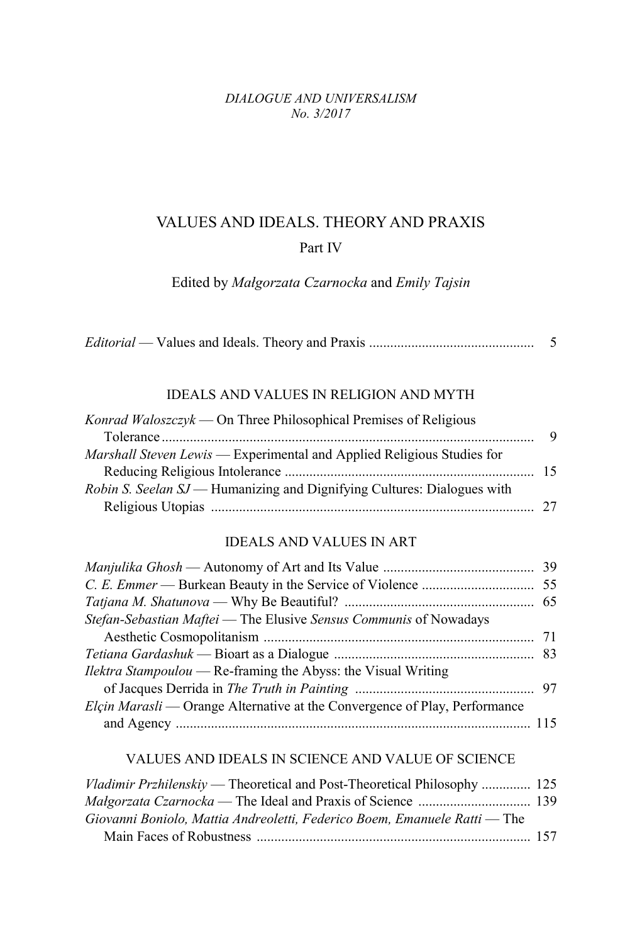#### *DIALOGUE AND UNIVERSALISM No. 3/2017*

# VALUES AND IDEALS. THEORY AND PRAXIS Part IV

Edited by *Małgorzata Czarnocka* and *Emily Tajsin*

|--|--|--|

### IDEALS AND VALUES IN RELIGION AND MYTH

| Konrad Waloszczyk — On Three Philosophical Premises of Religious               |     |
|--------------------------------------------------------------------------------|-----|
|                                                                                | - 9 |
| Marshall Steven Lewis — Experimental and Applied Religious Studies for         |     |
|                                                                                |     |
| <i>Robin S. Seelan SJ</i> — Humanizing and Dignifying Cultures: Dialogues with |     |
|                                                                                |     |

## IDEALS AND VALUES IN ART

| Stefan-Sebastian Maftei - The Elusive Sensus Communis of Nowadays          |  |
|----------------------------------------------------------------------------|--|
|                                                                            |  |
|                                                                            |  |
| <i>Ilektra Stampoulou</i> — Re-framing the Abyss: the Visual Writing       |  |
|                                                                            |  |
| Elçin Marasli — Orange Alternative at the Convergence of Play, Performance |  |
|                                                                            |  |
|                                                                            |  |

#### VALUES AND IDEALS IN SCIENCE AND VALUE OF SCIENCE

| <i>Vladimir Przhilenskiy</i> — Theoretical and Post-Theoretical Philosophy  125 |  |
|---------------------------------------------------------------------------------|--|
|                                                                                 |  |
| Giovanni Boniolo, Mattia Andreoletti, Federico Boem, Emanuele Ratti — The       |  |
|                                                                                 |  |